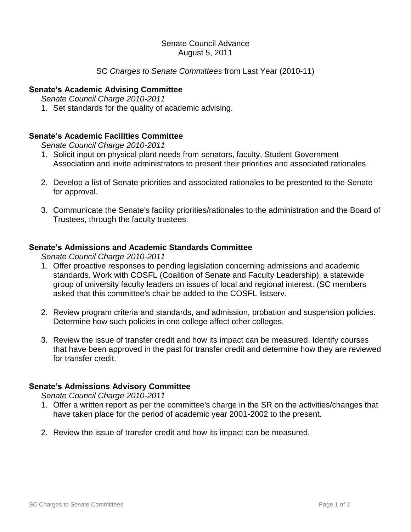#### Senate Council Advance August 5, 2011

# SC *Charges to Senate Committees* from Last Year (2010-11)

### **Senate's Academic Advising Committee**

*Senate Council Charge 2010-2011*

1. Set standards for the quality of academic advising.

# **Senate's Academic Facilities Committee**

*Senate Council Charge 2010-2011*

- 1. Solicit input on physical plant needs from senators, faculty, Student Government Association and invite administrators to present their priorities and associated rationales.
- 2. Develop a list of Senate priorities and associated rationales to be presented to the Senate for approval.
- 3. Communicate the Senate's facility priorities/rationales to the administration and the Board of Trustees, through the faculty trustees.

#### **Senate's Admissions and Academic Standards Committee**

*Senate Council Charge 2010-2011*

- 1. Offer proactive responses to pending legislation concerning admissions and academic standards. Work with COSFL (Coalition of Senate and Faculty Leadership), a statewide group of university faculty leaders on issues of local and regional interest. (SC members asked that this committee's chair be added to the COSFL listserv.
- 2. Review program criteria and standards, and admission, probation and suspension policies. Determine how such policies in one college affect other colleges.
- 3. Review the issue of transfer credit and how its impact can be measured. Identify courses that have been approved in the past for transfer credit and determine how they are reviewed for transfer credit.

#### **Senate's Admissions Advisory Committee**

*Senate Council Charge 2010-2011*

- 1. Offer a written report as per the committee's charge in the SR on the activities/changes that have taken place for the period of academic year 2001-2002 to the present.
- 2. Review the issue of transfer credit and how its impact can be measured.